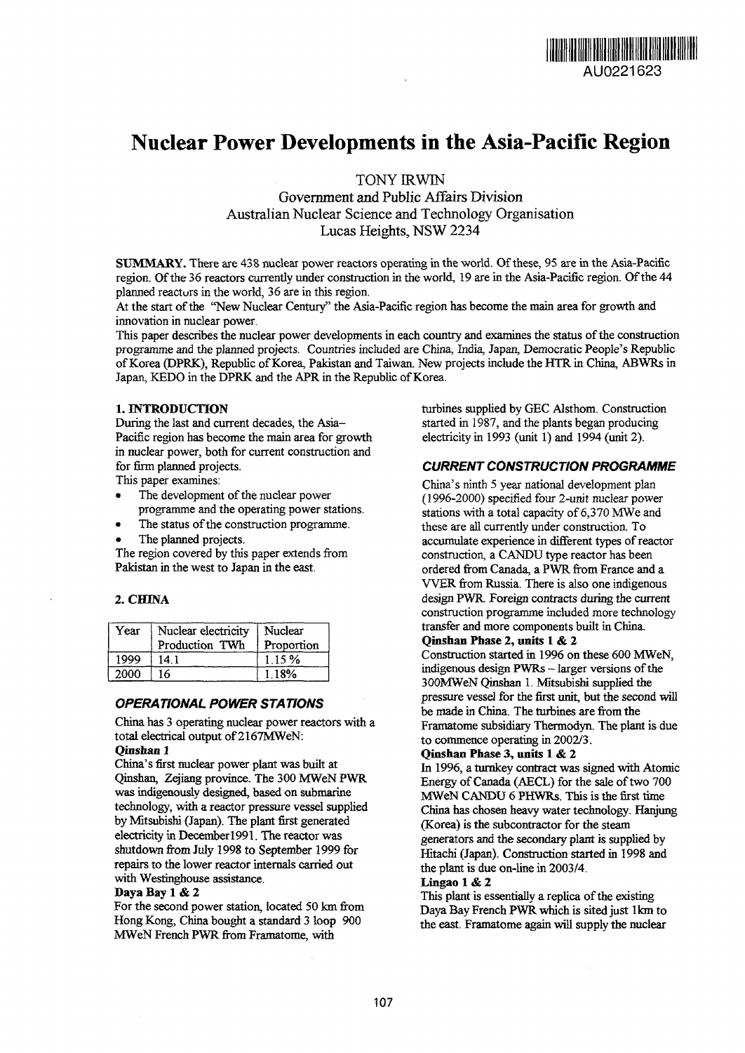

# **Nuclear Power Developments in the Asia-Pacific Region**

TONY IRWIN

Government and Public Affairs Division Australian Nuclear Science and Technology Organisation Lucas Heights, NSW 2234

SUMMARY. There are 438 nuclear power reactors operating in the world. Of these, 95 are in the Asia-Pacific region. Of the 36 reactors currently under construction in the world, 19 are in the Asia-Pacific region. Of the 44 planned reactors in the world, 36 are in this region.

At the start of the "New Nuclear Century" the Asia-Pacific region has become the main area for growth and innovation in nuclear power.

This paper describes the nuclear power developments in each country and examines the status of the construction programme and the planned projects. Countries included are China, India, Japan, Democratic People's Republic of Korea (DPRK), Republic of Korea, Pakistan and Taiwan. New projects include the HTR in China, ABWRs in Japan, KEDO in the DPRK and the APR in the Republic of Korea.

## **1. INTRODUCTION**

During the last and current decades, the Asia-Pacific region has become the main area for growth in nuclear power, both for current construction and for firm planned projects.

This paper examines:

- The development of the nuclear power programme and the operating power stations.
- The status of the construction programme.
- The planned projects.

The region covered by this paper extends from Pakistan in the west to Japan in the east.

## **2. CHINA**

| Year | Nuclear electricity<br>Production TWh | Nuclear<br>Proportion |
|------|---------------------------------------|-----------------------|
| 1999 | 14.1                                  | 1.15%                 |
| 2000 | 16                                    | 1 18%                 |

## **OPERATIONAL POWER STATIONS**

China has 3 operating nuclear power reactors with a total electrical output of 2167MWeN:

# **Qinshan 1**

China's first nuclear power plant was built at Qinshan, Zejiang province. The 300 MWeN PWR was indigenously designed, based on submarine technology, with a reactor pressure vessel supplied by Mitsubishi (Japan). The plant first generated electricity in Decemberl991. The reactor was shutdown from July 1998 to September 1999 for repairs to the lower reactor internals carried out with Westinghouse assistance.

#### **Daya Bay 1** & **2**

For the second power station, located 50 km from Hong Kong, China bought a standard 3 loop 900 MWeN French PWR from Framatome, with

turbines supplied by GEC Alsthom. Construction started in 1987, and the plants began producing electricity in 1993 (unit 1) and 1994 (unit 2).

## **CURRENT CONSTRUCTION PROGRAMME**

China's ninth 5 year national development plan (1996-2000) specified four 2-unit nuclear power stations with a total capacity of 6,370 MWe and these are all currently under construction. To accumulate experience in different types of reactor construction, a CANDU type reactor has been ordered from Canada, a PWR from France and a VVER from Russia. There is also one indigenous design PWR. Foreign contracts during the current construction programme included more technology transfer and more components built in China.

# **Qinshan Phase 2, units 1** & **2**

Construction started in 1996 on these 600 MWeN, indigenous design PWRs — larger versions of the 300MWeN Qinshan 1. Mitsubishi supplied the pressure vessel for the first unit, but the second will be made in China. The turbines are from the Framatome subsidiary Thermodyn. The plant is due to commence operating in 2002/3.

#### **Qinshan Phase 3, units 1** & **2**

In 1996, a turnkey contract was signed with Atomic Energy of Canada (AECL) for the sale of two 700 MWeN CANDU 6 PHWRs. This is the first time China has chosen heavy water technology. Hanjung (Korea) is the subcontractor for the steam generators and the secondary plant is supplied by Hitachi (Japan). Construction started in 1998 and the plant is due on-line in 2003/4.

## **Lingao 1** & **2**

This plant is essentially a replica of the existing Daya Bay French **PWR** which is sited just lkm to the east. Framatome again will supply the nuclear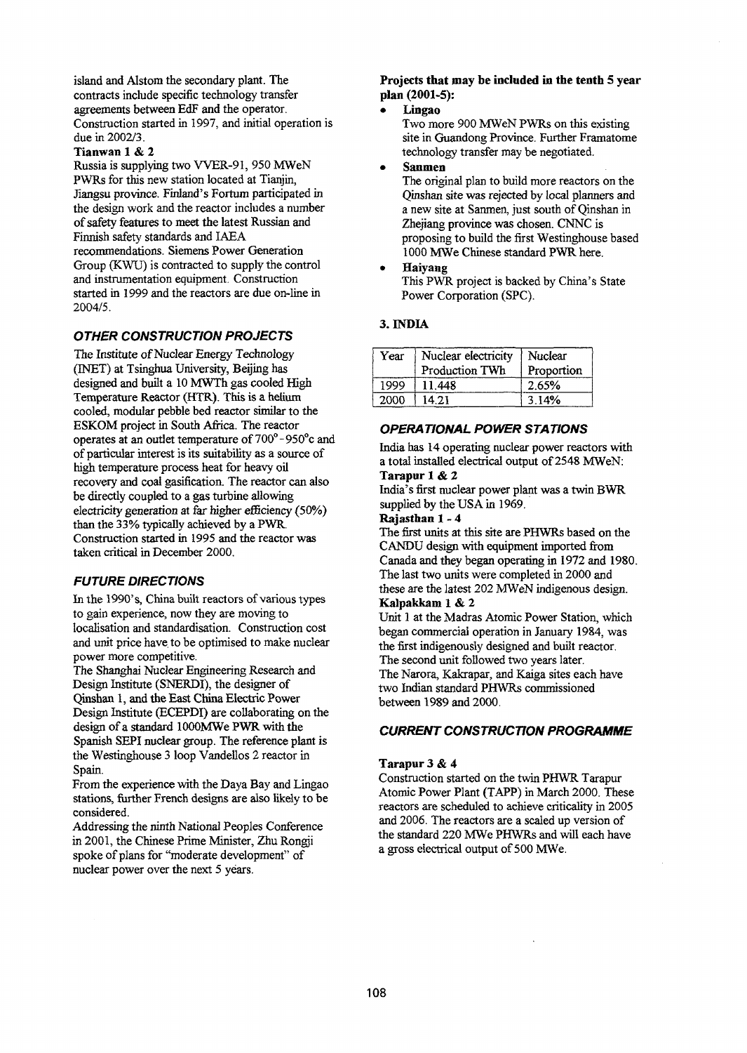island and Alstom the secondary plant. The contracts include specific technology transfer agreements between EdF and the operator. Construction started in 1997, and initial operation is due in 2002/3.

#### **Tianwan** 1 & 2

Russia is supplying two WER-91, 950 MWeN PWRs for this new station located at Tianjin, Jiangsu province. Finland's Fortum participated in the design work and the reactor includes a number of safety features to meet the latest Russian and Finnish safety standards and IAEA recommendations. Siemens Power Generation Group (KWU) is contracted to supply the control and instrumentation equipment. Construction started in 1999 and the reactors are due on-line in 2004/5.

# **OTHER CONSTRUCTION PROJECTS**

The Institute of Nuclear Energy Technology (INET) at Tsinghua University, Beijing has designed and built a 10 MWTh gas cooled High Temperature Reactor (HTR). This is a helium cooled, modular pebble bed reactor similar to the ESKOM project in South Africa. The reactor operates at an outlet temperature of 700°-950°c and of particular interest is its suitability as a source of high temperature process heat for heavy oil recovery and coal gasification. The reactor can also be directly coupled to a gas turbine allowing electricity generation at far higher efficiency (50%) than the 33% typically achieved by a PWR. Construction started in 1995 and the reactor was taken critical in December 2000.

#### **FUTURE DIRECTIONS**

In the 1990's, China built reactors of various types to gain experience, now they are moving to localisation and standardisation. Construction cost and unit price have, to be optimised to make nuclear power more competitive.

The Shanghai Nuclear Engineering Research and Design Institute (SNERDI), the designer of Qinshan 1, and the East China Electric Power Design Institute (ECEPDI) are collaborating on the design of a standard lOOOMWe PWR with the Spanish SEPI nuclear group. The reference plant is the Westinghouse 3 loop Vandellos 2 reactor in Spain.

From the experience with the Daya Bay and Lingao stations, further French designs are also likely to be considered.

Addressing the ninth National Peoples Conference in 2001, the Chinese Prime Minister, Zhu Rongji spoke of plans for "moderate development" of nuclear power over the next 5 years.

## **Projects that may be included in the tenth 5 year plan (2001-5):**

**• Lingao**

Two more 900 MWeN PWRs on this existing site in Guandong Province. Further Framatome technology transfer may be negotiated.

• **Sanmen**

The original plan to build more reactors on the Qinshan site was rejected by local planners and a new site at Sanmen, just south of Qinshan in Zhejiang province was chosen. CNNC is proposing to build the first Westinghouse based 1000 MWe Chinese standard PWR here.

• Haiyang

This PWR project is backed by China's State Power Corporation (SPC).

## **3. INDIA**

| Year | Nuclear electricity<br>Production TWh | Nuclear<br>Proportion |
|------|---------------------------------------|-----------------------|
| 1999 | 11.448                                | 2.65%                 |
| 2000 | 14.21                                 | 3.14%                 |

## **OPERATIONAL POWER STATIONS**

India has 14 operating nuclear power reactors with a total installed electrical output of 2548 MWeN: **Tarapur 1** & 2

India's first nuclear power plant was a twin BWR supplied by the USA in 1969.

# **Rajastha n 1- 4**

The first units at this site are PHWRs based on the CANDU design with equipment imported from Canada and they began operating in 1972 and 1980. The last two units were completed in 2000 and these are the latest 202 MWeN indigenous design. **Kalpakkam 1** & **2**

Unit 1 at the Madras Atomic Power Station, which began commercial operation in January 1984, was the first indigenously designed and built reactor. The second unit followed two years later. The Narora, Kakrapar, and Kaiga sites each have two Indian standard PHWRs commissioned between 1989 and 2000.

## **CURRENT CONSTRUCTION PROGRAMME**

#### **Tarapur 3** & **4**

Construction started on the twin PHWR Tarapur Atomic Power Plant (TAPP) in March 2000. These reactors are scheduled to achieve criticality in 2005 and 2006. The reactors are a scaled up version of the standard 220 MWe PHWRs and will each have a gross electrical output of 500 MWe.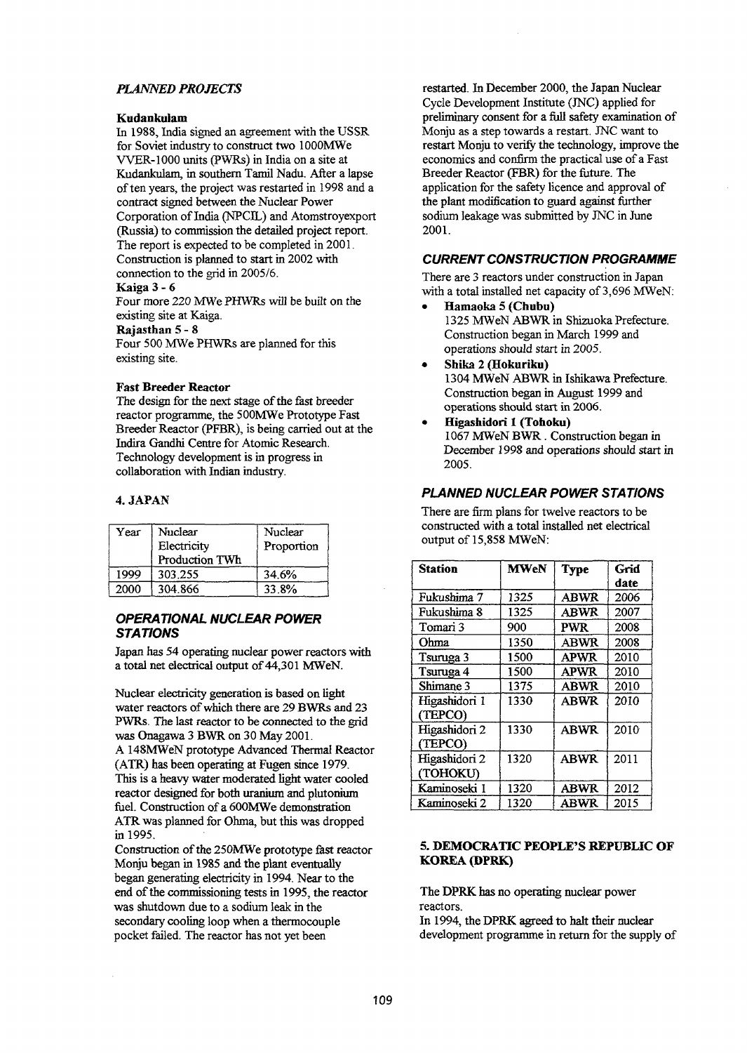# *PLANNED PROJECTS*

#### **Kudankuiam**

In 1988, India signed an agreement with the USSR for Soviet industry to construct two lOOOMWe WER-1000 units (PWRs) in India on a site at Kudankuiam, in southern Tamil Nadu. After a lapse of ten years, the project was restarted in 1998 and a contract signed between the Nuclear Power Corporation of India (NPCIL) and Atomstroyexport (Russia) to commission the detailed project report. The report is expected to be completed in 2001. Construction is planned to start in 2002 with connection to the grid in 2005/6. Kaiga 3- 6

Four more 220 MWe PHWRs will be built on the existing site at Kaiga.

### Rajasthan 5- 8

Four 500 MWe PHWRs are planned for this existing site.

#### Fast Breeder Reactor

The design for the next stage of the fast breeder reactor programme, the 500MWe Prototype Fast Breeder Reactor (PFBR), is being carried out at the Indira Gandhi Centre for Atomic Research. Technology development is in progress in collaboration with Indian industry.

#### 4. JAPAN

| Year | Nuclear<br>Electricity<br>Production TWh | Nuclear<br>Proportion |
|------|------------------------------------------|-----------------------|
| 1999 | 303.255                                  | 34.6%                 |
| 2000 | 304.866                                  | 33.8%                 |

# **OPERATIONAL NUCLEAR POWER STATIONS**

Japan has 54 operating nuclear power reactors with a total net electrical output of 44,301 MWeN.

Nuclear electricity generation is based on light water reactors of which there are 29 BWRs and 23 PWRs. The last reactor to be connected to the grid was Onagawa 3 BWR on 30 May 2001. A 148MWeN prototype Advanced Thermal Reactor (ATR) has been operating at Fugen since 1979. This is a heavy water moderated light water cooled reactor designed for both uranium and plutonium fuel. Construction of a 600MWe demonstration ATR was planned for Ohma, but this was dropped in 1995.

Construction of the 250MWe prototype fast reactor Monju began in 1985 and the plant eventually began generating electricity in 1994. Near to the end of the commissioning tests in 1995, the reactor was shutdown due to a sodium leak in the secondary cooling loop when a thermocouple pocket failed. The reactor has not yet been

restarted. In December 2000, the Japan Nuclear Cycle Development Institute (JNC) applied for preliminary consent for a full safety examination of Monju as a step towards a restart. JNC want to restart Monju to verify the technology, improve the economics and confirm the practical use of a Fast Breeder Reactor (FBR) for the future. The application for the safety licence and approval of the plant modification to guard against further sodium leakage was submitted by JNC in June 2001.

## **CURRENT CONSTRUCTION PROGRAMME**

There are 3 reactors under construction in Japan with a total installed net capacity of 3,696 MWeN:

- Hamaoka 5 (Chubu) 1325 MWeN ABWR in Shizuoka Prefecture. Construction began in March 1999 and operations should start in 2005.
- Shika 2 (Hokuriku) 1304 MWeN ABWR in Ishikawa Prefecture. Construction began in August 1999 and operations should start in 2006.
- • **Higashidori 1 (Tohoku)** 1067 MWeN BWR. Construction began in December 1998 and operations should start in 2005.

## **PLANNED NUCLEAR POWER STATIONS**

There are firm plans for twelve reactors to be constructed with a total installed net electrical output of 15,858 MWeN:

| <b>Station</b> | <b>MWeN</b> | <b>Type</b> | Grid |
|----------------|-------------|-------------|------|
|                |             |             | date |
| Fukushima 7    | 1325        | <b>ABWR</b> | 2006 |
| Fukushima 8    | 1325        | <b>ABWR</b> | 2007 |
| Tomari 3       | 900         | <b>PWR</b>  | 2008 |
| Ohma           | 1350        | <b>ABWR</b> | 2008 |
| Tsuruga 3      | 1500        | <b>APWR</b> | 2010 |
| Tsuruga 4      | 1500        | <b>APWR</b> | 2010 |
| Shimane 3      | 1375        | <b>ABWR</b> | 2010 |
| Higashidori 1  | 1330        | ABWR        | 2010 |
| (TEPCO)        |             |             |      |
| Higashidori 2  | 1330        | <b>ABWR</b> | 2010 |
| (TEPCO)        |             |             |      |
| Higashidori 2  | 1320        | <b>ABWR</b> | 2011 |
| (TOHOKU)       |             |             |      |
| Kaminoseki 1   | 1320        | <b>ABWR</b> | 2012 |
| Kaminoseki 2   | 1320        | <b>ABWR</b> | 2015 |

## **5. DEMOCRATIC PEOPLE'S REPUBLIC OF KOREA (DPRK)**

The DPRK has no operating nuclear power reactors.

In 1994, the DPRK agreed to halt their nuclear development programme in return for the supply of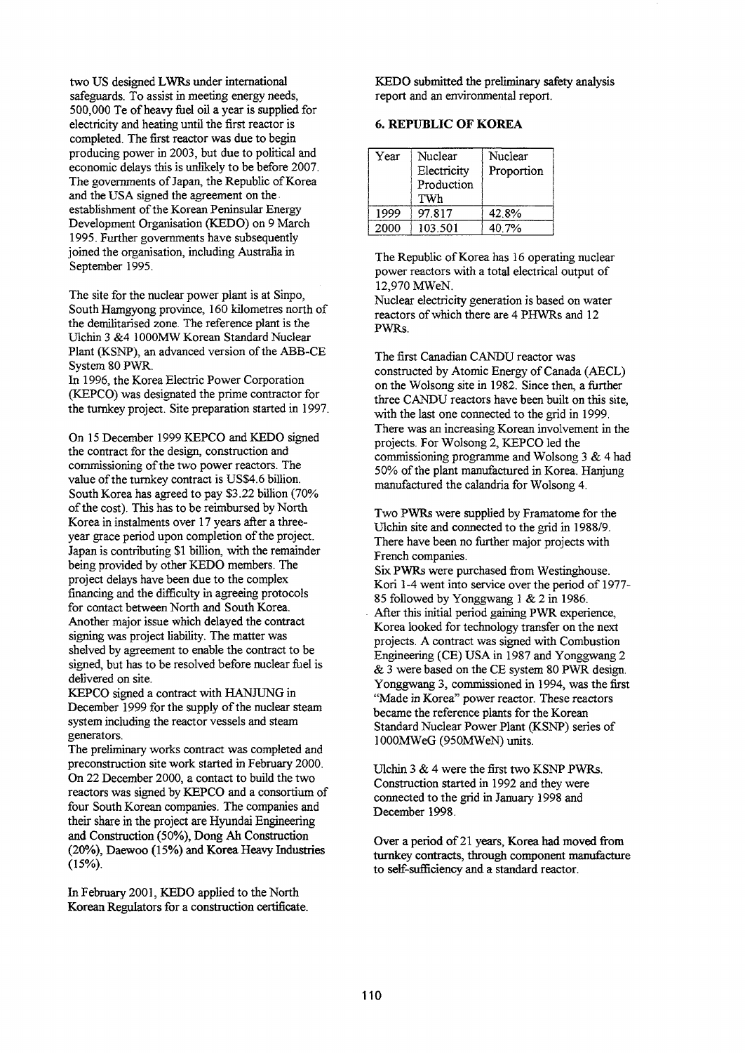two US designed LWRs under international safeguards. To assist in meeting energy needs, 500,000 Te of heavy fuel oil a year is supplied for electricity and heating until the first reactor is completed. The first reactor was due to begin producing power in 2003, but due to political and economic delays this is unlikely to be before 2007. The governments of Japan, the Republic of Korea and the USA signed the agreement on the establishment of the Korean Peninsular Energy Development Organisation (KEDO) on 9 March 1995. Further governments have subsequently joined the organisation, including Australia in September 1995.

The site for the nuclear power plant is at Sinpo, South Hamgyong province, 160 kilometres north of the demilitarised zone. The reference plant is the Ulchin 3 &4 1000MW Korean Standard Nuclear Plant (KSNP), an advanced version of the ABB-CE System 80 PWR.

In 1996, the Korea Electric Power Corporation (KEPCO) was designated the prime contractor for the turnkey project. Site preparation started in 1997.

On 15 December 1999 KEPCO and KEDO signed the contract for the design, construction and commissioning of the two power reactors. The value of the turnkey contract is US\$4.6 billion. South Korea has agreed to pay S3.22 billion (70% of the cost). This has to be reimbursed by North Korea in instalments over 17 years after a threeyear grace period upon completion of the project. Japan is contributing \$1 billion, with the remainder being provided by other KEDO members. The project delays have been due to the complex financing and the difficulty in agreeing protocols for contact between North and South Korea. Another major issue which delayed the contract signing was project liability. The matter was shelved by agreement to enable the contract to be signed, but has to be resolved before nuclear fuel is delivered on site.

KEPCO signed a contract with HANJUNG in December 1999 for the supply of the nuclear steam system including the reactor vessels and steam generators.

The preliminary works contract was completed and preconstruction site work started in February 2000. On 22 December 2000, a contact to build the two reactors was signed by KEPCO and a consortium of four South Korean companies. The companies and their share in the project are Hyundai Engineering and Construction (50%), Dong Ah Construction (20%), Daewoo (15%) and Korea Heavy Industries (15%).

In February 2001, KEDO applied to the North Korean Regulators for a construction certificate. KEDO submitted the preliminary safety analysis report and an environmental report.

# **6. REPUBLIC OF KOREA**

| Үеаг | Nuclear<br>Electricity<br>Production<br>TWh | Nuclear<br>Proportion |
|------|---------------------------------------------|-----------------------|
| 1999 | 97.817                                      | 42.8%                 |
| 2000 | 103.501                                     | 40.7%                 |

The Republic of Korea has 16 operating nuclear power reactors with a total electrical output of 12,970 MWeN.

Nuclear electricity generation is based on water reactors of which there are 4 PHWRs and 12 PWRs.

The first Canadian CANDU reactor was constructed by Atomic Energy of Canada (AECL) on the Wolsong site in 1982. Since then, a further three CANDU reactors have been built on this site, with the last one connected to the grid in 1999. There was an increasing Korean involvement in the projects. For Wolsong 2, KEPCO led the commissioning programme and Wolsong 3 & 4 had 50% of the plant manufactured in Korea. Hanjung manufactured the calandria for Wolsong 4.

Two PWRs were supplied by Framatome for the Ulchin site and connected to the grid in 1988/9. There have been no further major projects with French companies.

Six PWRs were purchased from Westinghouse. Kori 1-4 went into service over the period of 1977-85 followed by Yonggwang 1 & 2 in 1986.

After this initial period gaining PWR experience, Korea looked for technology transfer on the next projects. A contract was signed with Combustion Engineering (CE) USA in 1987 and Yonggwang 2 & 3 were based on the CE system 80 PWR design. Yonggwang 3, commissioned in 1994, was the first "Made in Korea" power reactor. These reactors became the reference plants for the Korean Standard Nuclear Power Plant (KSNP) series of lOOOMWeG (950MWeN) units.

Ulchin 3 & 4 were the first two KSNP PWRs. Construction started in 1992 and they were connected to the grid in January 1998 and December 1998.

Over a period of 21 years, Korea had moved from turnkey contracts, through component manufacture to self-sufficiency and a standard reactor.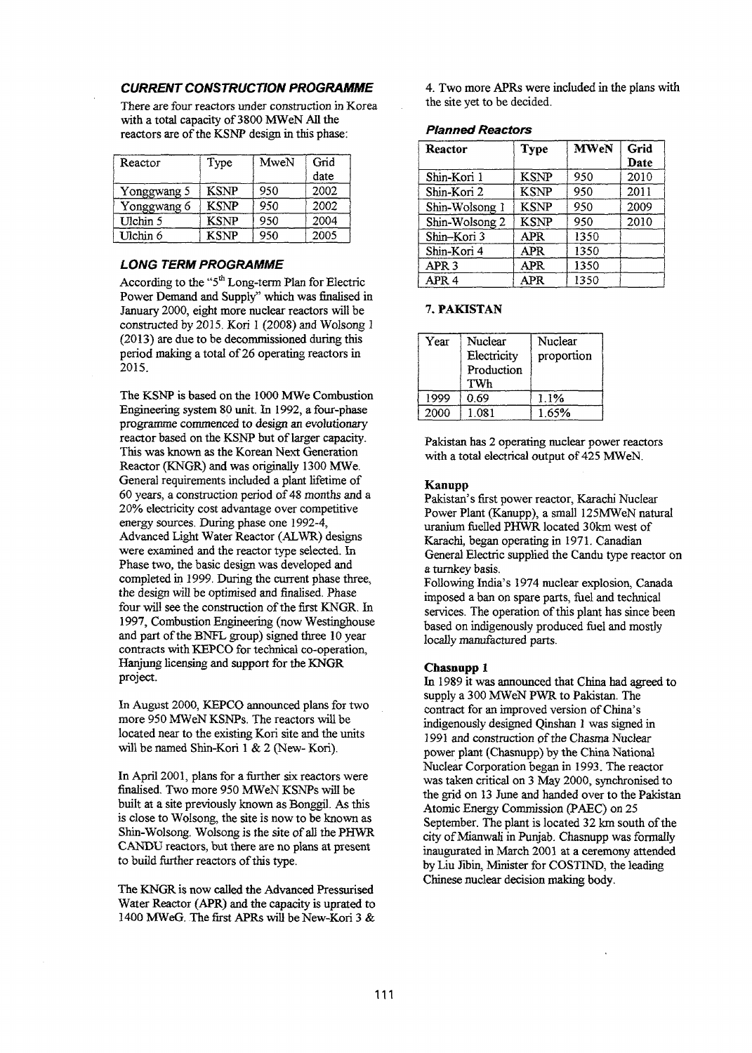## **CURRENT CONSTRUCTION PROGRAMME**

There are four reactors under construction in Korea with a total capacity of 3800 MWeN All the reactors are of the KSNP design in this phase:

| Reactor     | Type        | MweN | Grid<br>date |
|-------------|-------------|------|--------------|
| Yonggwang 5 | <b>KSNP</b> | 950  | 2002         |
| Yonggwang 6 | <b>KSNP</b> | 950  | 2002         |
| Ulchin 5    | KSNP        | 950  | 2004         |
| Ulchin 6    | KSNP        | 950  | 2005         |

#### **LONG TERM PROGRAMME**

According to the "5<sup>th</sup> Long-term Plan for Electric Power Demand and Supply" which was finalised in January 2000, eight more nuclear reactors will be constructed by 2015. Kori 1 (2008) and Wolsong 1 (2013) are due to be decommissioned during this period making a total of 26 operating reactors in 2015.

The KSNP is based on the 1000 MWe Combustion Engineering system 80 unit. In 1992, a four-phase programme commenced to design an evolutionary reactor based on the KSNP but of larger capacity. This was known as the Korean Next Generation Reactor (KNGR) and was originally 1300 MWe. General requirements included a plant lifetime of 60 years, a construction period of 48 months and a 20% electricity cost advantage over competitive energy sources. During phase one 1992-4, Advanced Light Water Reactor (ALWR) designs were examined and the reactor type selected. In Phase two, the basic design was developed and completed in 1999. During the current phase three, the design will be optimised and finalised. Phase four will see the construction of the first KNGR. In 1997, Combustion Engineering (now Westinghouse and part of the BNFL group) signed three 10 year contracts with KEPCO for technical co-operation, Hanjung licensing and support for the KNGR project.

In August 2000, KEPCO announced plans for two more 950 MWeN KSNPs. The reactors will be located near to the existing Kori site and the units will be named Shin-Kori 1 & 2 (New-Kori).

In April 2001, plans for a further six reactors were finalised. Two more 950 MWeN KSNPs will be built at a site previously known as Bonggil. As this is close to Wolsong, the site is now to be known as Shin-Wolsong. Wolsong is the site of all the PHWR CANDU reactors, but there are no plans at present to build further reactors of this type.

The KNGR is now called the Advanced Pressurised Water Reactor (APR) and the capacity is uprated to 1400 MWeG. The first APRs will be New-Kori 3 & 4. Two more APRs were included in the plans with the site yet to be decided.

#### **Planned Reactors**

| Reactor          | <b>Type</b> | <b>MWeN</b> | Grid<br>Date |
|------------------|-------------|-------------|--------------|
| Shin-Kori 1      | <b>KSNP</b> | 950         | 2010         |
| Shin-Kori 2      | <b>KSNP</b> | 950         | 2011         |
| Shin-Wolsong 1   | <b>KSNP</b> | 950         | 2009         |
| Shin-Wolsong 2   | <b>KSNP</b> | 950         | 2010         |
| Shin-Kori 3      | APR         | 1350        |              |
| Shin-Kori 4      | <b>APR</b>  | 1350        |              |
| APR <sub>3</sub> | <b>APR</b>  | 1350        |              |
| APR 4            | APR         | 1350        |              |

#### 7. **PAKISTAN**

| Year | Nuclear<br>Electricity<br>Production<br>TWh | Nuclear<br>proportion |
|------|---------------------------------------------|-----------------------|
| 1999 | 0.69                                        | 1.1%                  |
| 2000 | 1.081                                       | 1.65%                 |

Pakistan has 2 operating nuclear power reactors with a total electrical output of 425 MWeN.

#### **Kanupp**

Pakistan's first power reactor, Karachi Nuclear Power Plant (Kanupp), a small 125MWeN natural uranium fuelled PHWR located 30km west of Karachi, began operating in 1971. Canadian General Electric supplied the Candu type reactor on a turnkey basis.

Following India's 1974 nuclear explosion, Canada imposed a ban on spare parts, fuel and technical services. The operation of this plant has since been based on indigenously produced fuel and mostly locally manufactured parts.

#### **Chasnupp 1**

In 1989 it was announced that China had agreed to supply a 300 MWeN PWR to Pakistan. The contract for an improved version of China's indigenously designed Qinshan 1 was signed in 1991 and construction of the Chasma Nuclear power plant (Chasnupp) by the China National Nuclear Corporation began in 1993. The reactor was taken critical on 3 May 2000, synchronised to the grid on 13 June and handed over to the Pakistan Atomic Energy Commission (PAEC) on 25 September. The plant is located 32 km south of the city of Mianwali in Punjab. Chasnupp was formally inaugurated in March 2001 at a ceremony attended by Liu Jibin, Minister for COSTIND, the leading Chinese nuclear decision making body.